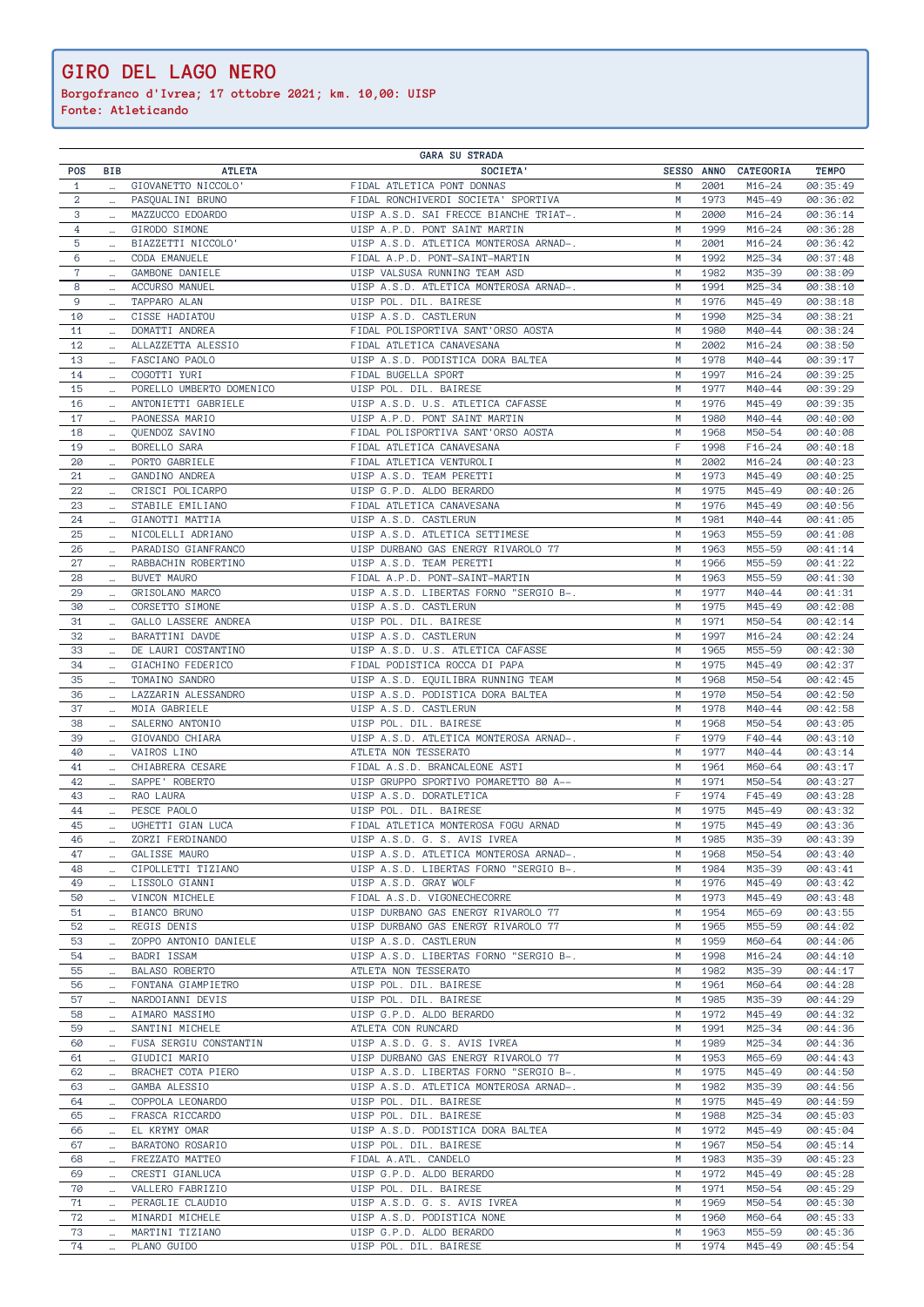**Borgofranco d'Ivrea; 17 ottobre 2021; km. 10,00: UISP**

| <b>GARA SU STRADA</b> |          |                          |                                        |            |      |                  |              |
|-----------------------|----------|--------------------------|----------------------------------------|------------|------|------------------|--------------|
| POS                   | BIB      | <b>ATLETA</b>            | SOCIETA'                               | SESSO ANNO |      | CATEGORIA        | <b>TEMPO</b> |
| $\mathbf{1}$          |          | GIOVANETTO NICCOLO'      | FIDAL ATLETICA PONT DONNAS             | M          | 2001 | M16-24           | 00:35:49     |
| $\overline{a}$        | $\ldots$ | PASQUALINI BRUNO         | FIDAL RONCHIVERDI SOCIETA' SPORTIVA    | M          | 1973 | M45-49           | 00:36:02     |
| 3                     | $\cdots$ | MAZZUCCO EDOARDO         | UISP A.S.D. SAI FRECCE BIANCHE TRIAT-. | M          | 2000 | $M16 - 24$       | 00:36:14     |
| $\overline{4}$        | $\cdots$ | GIRODO SIMONE            | UISP A.P.D. PONT SAINT MARTIN          | M          | 1999 | $M16 - 24$       | 00:36:28     |
| 5                     | $\cdots$ | BIAZZETTI NICCOLO'       | UISP A.S.D. ATLETICA MONTEROSA ARNAD-. | M          | 2001 | $M16 - 24$       | 00:36:42     |
| 6                     | $\cdots$ | CODA EMANUELE            | FIDAL A.P.D. PONT-SAINT-MARTIN         | M          | 1992 | M25-34           | 00:37:48     |
| $\mathbf 7$           | $\cdots$ | GAMBONE DANIELE          | UISP VALSUSA RUNNING TEAM ASD          | M          | 1982 | M35-39           | 00:38:09     |
| 8                     | $\ldots$ | ACCURSO MANUEL           | UISP A.S.D. ATLETICA MONTEROSA ARNAD-. | M          | 1991 | M25-34           | 00:38:10     |
| 9                     | $\ldots$ | TAPPARO ALAN             | UISP POL. DIL. BAIRESE                 | M          | 1976 | M45-49           | 00:38:18     |
| 10                    | $\cdots$ | CISSE HADIATOU           | UISP A.S.D. CASTLERUN                  | M          | 1990 | M25-34           | 00:38:21     |
| 11                    | $\cdots$ | DOMATTI ANDREA           | FIDAL POLISPORTIVA SANT'ORSO AOSTA     | M          | 1980 | M40-44           | 00:38:24     |
| 12                    |          | ALLAZZETTA ALESSIO       | FIDAL ATLETICA CANAVESANA              | M          | 2002 | $M16 - 24$       | 00:38:50     |
| 13                    | $\cdots$ | FASCIANO PAOLO           | UISP A.S.D. PODISTICA DORA BALTEA      | M          | 1978 | M40-44           | 00:39:17     |
| 14                    |          | COGOTTI YURI             | FIDAL BUGELLA SPORT                    | M          | 1997 | $M16 - 24$       | 00:39:25     |
| 15                    | $\cdots$ | PORELLO UMBERTO DOMENICO | UISP POL. DIL. BAIRESE                 | M          | 1977 |                  | 00:39:29     |
|                       |          | ANTONIETTI GABRIELE      |                                        | M          | 1976 | M40-44<br>M45-49 | 00:39:35     |
| 16                    | $\cdots$ |                          | UISP A.S.D. U.S. ATLETICA CAFASSE      |            |      |                  |              |
| 17                    |          | PAONESSA MARIO           | UISP A.P.D. PONT SAINT MARTIN          | M          | 1980 | M40-44           | 00:40:00     |
| 18                    | $\ldots$ | QUENDOZ SAVINO           | FIDAL POLISPORTIVA SANT'ORSO AOSTA     | M          | 1968 | M50-54           | 00:40:08     |
| 19                    | $\cdots$ | BORELLO SARA             | FIDAL ATLETICA CANAVESANA              | F          | 1998 | $F16 - 24$       | 00:40:18     |
| 20                    | $\ldots$ | PORTO GABRIELE           | FIDAL ATLETICA VENTUROLI               | M          | 2002 | $M16 - 24$       | 00:40:23     |
| 21                    | $\cdots$ | GANDINO ANDREA           | UISP A.S.D. TEAM PERETTI               | M          | 1973 | M45-49           | 00:40:25     |
| 22                    |          | CRISCI POLICARPO         | UISP G.P.D. ALDO BERARDO               | M          | 1975 | M45-49           | 00:40:26     |
| 23                    | $\cdots$ | STABILE EMILIANO         | FIDAL ATLETICA CANAVESANA              | M          | 1976 | M45-49           | 00:40:56     |
| 24                    |          | GIANOTTI MATTIA          | UISP A.S.D. CASTLERUN                  | M          | 1981 | M40-44           | 00:41:05     |
| 25                    |          | NICOLELLI ADRIANO        | UISP A.S.D. ATLETICA SETTIMESE         | M          | 1963 | M55-59           | 00:41:08     |
| 26                    |          | PARADISO GIANFRANCO      | UISP DURBANO GAS ENERGY RIVAROLO 77    | M          | 1963 | M55-59           | 00:41:14     |
| 27                    | $\cdots$ | RABBACHIN ROBERTINO      | UISP A.S.D. TEAM PERETTI               | M          | 1966 | M55-59           | 00:41:22     |
| 28                    | $\cdots$ | <b>BUVET MAURO</b>       | FIDAL A.P.D. PONT-SAINT-MARTIN         | M          | 1963 | M55-59           | 00:41:30     |
| 29                    |          | GRISOLANO MARCO          | UISP A.S.D. LIBERTAS FORNO "SERGIO B-. | M          | 1977 | M40-44           | 00:41:31     |
| 30                    |          | CORSETTO SIMONE          | UISP A.S.D. CASTLERUN                  | M          | 1975 | M45-49           | 00:42:08     |
|                       | $\cdots$ |                          |                                        |            |      |                  |              |
| 31                    |          | GALLO LASSERE ANDREA     | UISP POL. DIL. BAIRESE                 | M          | 1971 | M50-54           | 00:42:14     |
| 32                    | $\cdots$ | BARATTINI DAVDE          | UISP A.S.D. CASTLERUN                  | M          | 1997 | $M16 - 24$       | 00:42:24     |
| 33                    |          | DE LAURI COSTANTINO      | UISP A.S.D. U.S. ATLETICA CAFASSE      | M          | 1965 | M55-59           | 00:42:30     |
| 34                    |          | GIACHINO FEDERICO        | FIDAL PODISTICA ROCCA DI PAPA          | M          | 1975 | M45-49           | 00:42:37     |
| 35                    | $\cdots$ | TOMAINO SANDRO           | UISP A.S.D. EQUILIBRA RUNNING TEAM     | M          | 1968 | M50-54           | 00:42:45     |
| 36                    | $\ldots$ | LAZZARIN ALESSANDRO      | UISP A.S.D. PODISTICA DORA BALTEA      | M          | 1970 | M50-54           | 00:42:50     |
| 37                    | $\cdots$ | MOIA GABRIELE            | UISP A.S.D. CASTLERUN                  | M          | 1978 | M40-44           | 00:42:58     |
| 38                    |          | SALERNO ANTONIO          | UISP POL. DIL. BAIRESE                 | M          | 1968 | M50-54           | 00:43:05     |
| 39                    | $\cdots$ | GIOVANDO CHIARA          | UISP A.S.D. ATLETICA MONTEROSA ARNAD-. | F          | 1979 | F40-44           | 00:43:10     |
| 40                    |          | VAIROS LINO              | ATLETA NON TESSERATO                   | M          | 1977 | M40-44           | 00:43:14     |
| 41                    | $\cdots$ | CHIABRERA CESARE         | FIDAL A.S.D. BRANCALEONE ASTI          | M          | 1961 | M60-64           | 00:43:17     |
| 42                    |          | SAPPE' ROBERTO           | UISP GRUPPO SPORTIVO POMARETTO 80 A--  | M          | 1971 | M50-54           | 00:43:27     |
| 43                    | $\cdots$ | RAO LAURA                | UISP A.S.D. DORATLETICA                | F          | 1974 | F45-49           | 00:43:28     |
| 44                    | $\cdots$ | PESCE PAOLO              | UISP POL. DIL. BAIRESE                 | M          | 1975 | M45-49           | 00:43:32     |
| 45                    |          | UGHETTI GIAN LUCA        | FIDAL ATLETICA MONTEROSA FOGU ARNAD    | M          | 1975 | M45-49           | 00:43:36     |
| 46                    | $\cdots$ | ZORZI FERDINANDO         | UISP A.S.D. G. S. AVIS IVREA           | М          | 1985 | M35-39           | 00:43:39     |
|                       |          | GALISSE MAURO            | UISP A.S.D. ATLETICA MONTEROSA ARNAD-. | M          |      | M50-54           |              |
| 47                    |          |                          |                                        |            | 1968 |                  | 00:43:40     |
| 48                    |          | CIPOLLETTI TIZIANO       | UISP A.S.D. LIBERTAS FORNO "SERGIO B-. | M          | 1984 | M35-39           | 00:43:41     |
| 49                    |          | LISSOLO GIANNI           | UISP A.S.D. GRAY WOLF                  | M          | 1976 | M45-49           | 00:43:42     |
| 50                    |          | VINCON MICHELE           | FIDAL A.S.D. VIGONECHECORRE            | M          | 1973 | M45-49           | 00:43:48     |
| 51                    | $\cdots$ | BIANCO BRUNO             | UISP DURBANO GAS ENERGY RIVAROLO 77    | M          | 1954 | M65-69           | 00:43:55     |
| 52                    | $\cdots$ | REGIS DENIS              | UISP DURBANO GAS ENERGY RIVAROLO 77    | M          | 1965 | M55-59           | 00:44:02     |
| 53                    | $\cdots$ | ZOPPO ANTONIO DANIELE    | UISP A.S.D. CASTLERUN                  | M          | 1959 | M60-64           | 00:44:06     |
| 54                    | $\cdots$ | BADRI ISSAM              | UISP A.S.D. LIBERTAS FORNO "SERGIO B-. | M          | 1998 | M16-24           | 00:44:10     |
| 55                    | $\cdots$ | BALASO ROBERTO           | ATLETA NON TESSERATO                   | M          | 1982 | M35-39           | 00:44:17     |
| 56                    |          | FONTANA GIAMPIETRO       | UISP POL. DIL. BAIRESE                 | M          | 1961 | M60-64           | 00:44:28     |
| 57                    | $\cdots$ | NARDOIANNI DEVIS         | UISP POL. DIL. BAIRESE                 | M          | 1985 | M35-39           | 00:44:29     |
| 58                    |          | AIMARO MASSIMO           | UISP G.P.D. ALDO BERARDO               | M          | 1972 | M45-49           | 00:44:32     |
| 59                    |          | SANTINI MICHELE          | ATLETA CON RUNCARD                     | М          | 1991 | M25-34           | 00:44:36     |
| 60                    | $\cdots$ | FUSA SERGIU CONSTANTIN   | UISP A.S.D. G. S. AVIS IVREA           | M          | 1989 | M25-34           | 00:44:36     |
| 61                    | $\cdots$ | GIUDICI MARIO            | UISP DURBANO GAS ENERGY RIVAROLO 77    | M          | 1953 | M65-69           | 00:44:43     |
| 62                    | $\cdots$ | BRACHET COTA PIERO       | UISP A.S.D. LIBERTAS FORNO "SERGIO B-. | M          | 1975 | M45-49           | 00:44:50     |
| 63                    | $\cdots$ | GAMBA ALESSIO            | UISP A.S.D. ATLETICA MONTEROSA ARNAD-. | M          | 1982 | M35-39           | 00:44:56     |
| 64                    |          | COPPOLA LEONARDO         | UISP POL. DIL. BAIRESE                 | M          | 1975 | M45-49           | 00:44:59     |
| 65                    | $\cdots$ | FRASCA RICCARDO          | UISP POL. DIL. BAIRESE                 | M          | 1988 | M25-34           | 00:45:03     |
| 66                    | $\cdots$ |                          |                                        | M          | 1972 | M45-49           |              |
|                       | $\cdots$ | EL KRYMY OMAR            | UISP A.S.D. PODISTICA DORA BALTEA      |            |      |                  | 00:45:04     |
| 67                    | $\cdots$ | BARATONO ROSARIO         | UISP POL. DIL. BAIRESE                 | M          | 1967 | M50-54           | 00:45:14     |
| 68                    | $\cdots$ | FREZZATO MATTEO          | FIDAL A.ATL. CANDELO                   | M          | 1983 | M35-39           | 00:45:23     |
| 69                    | $\cdots$ | CRESTI GIANLUCA          | UISP G.P.D. ALDO BERARDO               | M          | 1972 | M45-49           | 00:45:28     |
| 70                    | $\cdots$ | VALLERO FABRIZIO         | UISP POL. DIL. BAIRESE                 | M          | 1971 | M50-54           | 00:45:29     |
| 71                    | $\cdots$ | PERAGLIE CLAUDIO         | UISP A.S.D. G. S. AVIS IVREA           | M          | 1969 | M50-54           | 00:45:30     |
| 72                    |          | MINARDI MICHELE          | UISP A.S.D. PODISTICA NONE             | M          | 1960 | M60-64           | 00:45:33     |
| 73                    | $\sim$ . | MARTINI TIZIANO          | UISP G.P.D. ALDO BERARDO               | M          | 1963 | M55-59           | 00:45:36     |
| 74                    |          | PLANO GUIDO              | UISP POL. DIL. BAIRESE                 | M          | 1974 | M45-49           | 00:45:54     |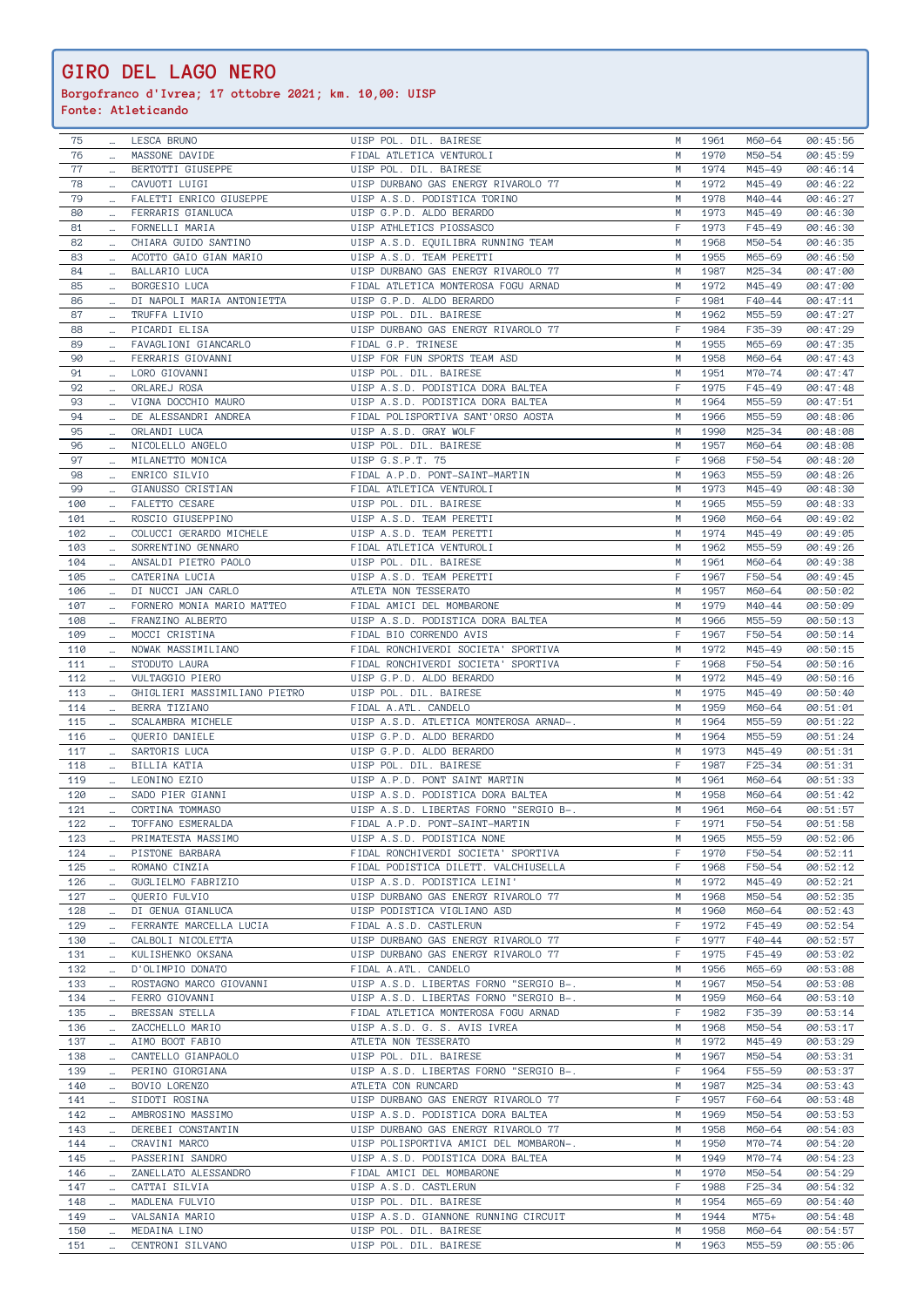**Borgofranco d'Ivrea; 17 ottobre 2021; km. 10,00: UISP**

| 75  |          | <b>LESCA BRUNO</b>            | UISP POL. DIL. BAIRESE                 | М  | 1961 | M60-64 | 00:45:56 |
|-----|----------|-------------------------------|----------------------------------------|----|------|--------|----------|
| 76  |          | MASSONE DAVIDE                | FIDAL ATLETICA VENTUROLI               | M  | 1970 | M50-54 | 00:45:59 |
|     |          |                               |                                        |    |      |        |          |
| 77  | $\cdots$ | BERTOTTI GIUSEPPE             | UISP POL. DIL. BAIRESE                 | M  | 1974 | M45-49 | 00:46:14 |
| 78  | $\cdots$ | CAVUOTI LUIGI                 | UISP DURBANO GAS ENERGY RIVAROLO 77    | M  | 1972 | M45-49 | 00:46:22 |
| 79  |          | FALETTI ENRICO GIUSEPPE       |                                        | M  | 1978 | M40-44 |          |
|     |          |                               | UISP A.S.D. PODISTICA TORINO           |    |      |        | 00:46:27 |
| 80  | $\cdots$ | FERRARIS GIANLUCA             | UISP G.P.D. ALDO BERARDO               | M  | 1973 | M45-49 | 00:46:30 |
| 81  |          | FORNELLI MARIA                | UISP ATHLETICS PIOSSASCO               | F  | 1973 | F45-49 | 00:46:30 |
|     |          |                               |                                        |    |      |        |          |
| 82  | $\ldots$ | CHIARA GUIDO SANTINO          | UISP A.S.D. EQUILIBRA RUNNING TEAM     | М  | 1968 | M50-54 | 00:46:35 |
| 83  |          | ACOTTO GAIO GIAN MARIO        | UISP A.S.D. TEAM PERETTI               | M  | 1955 | M65-69 | 00:46:50 |
| 84  |          | BALLARIO LUCA                 | UISP DURBANO GAS ENERGY RIVAROLO 77    | М  | 1987 | M25-34 | 00:47:00 |
|     | $\cdots$ |                               |                                        |    |      |        |          |
| 85  | $\cdots$ | BORGESIO LUCA                 | FIDAL ATLETICA MONTEROSA FOGU ARNAD    | М  | 1972 | M45-49 | 00:47:00 |
| 86  | $\ldots$ | DI NAPOLI MARIA ANTONIETTA    | UISP G.P.D. ALDO BERARDO               | F  | 1981 | F40-44 | 00:47:11 |
|     |          |                               |                                        |    |      |        |          |
| 87  | $\cdots$ | TRUFFA LIVIO                  | UISP POL. DIL. BAIRESE                 | M  | 1962 | M55-59 | 00:47:27 |
| 88  | $\cdots$ | PICARDI ELISA                 | UISP DURBANO GAS ENERGY RIVAROLO 77    | F  | 1984 | F35-39 | 00:47:29 |
|     |          |                               |                                        |    |      |        |          |
| 89  | $\cdots$ | FAVAGLIONI GIANCARLO          | FIDAL G.P. TRINESE                     | M  | 1955 | M65-69 | 00:47:35 |
| 90  |          | FERRARIS GIOVANNI             | UISP FOR FUN SPORTS TEAM ASD           | М  | 1958 | M60-64 | 00:47:43 |
| 91  | $\ldots$ | LORO GIOVANNI                 | UISP POL. DIL. BAIRESE                 | М  | 1951 | M70-74 | 00:47:47 |
|     |          |                               |                                        |    |      |        |          |
| 92  |          | ORLAREJ ROSA                  | UISP A.S.D. PODISTICA DORA BALTEA      | F  | 1975 | F45-49 | 00:47:48 |
| 93  | $\cdots$ | VIGNA DOCCHIO MAURO           | UISP A.S.D. PODISTICA DORA BALTEA      | M  | 1964 | M55-59 | 00:47:51 |
| 94  |          | DE ALESSANDRI ANDREA          | FIDAL POLISPORTIVA SANT'ORSO AOSTA     | M  | 1966 | M55-59 | 00:48:06 |
|     | $\cdots$ |                               |                                        |    |      |        |          |
| 95  | $\ldots$ | ORLANDI LUCA                  | UISP A.S.D. GRAY WOLF                  | M  | 1990 | M25-34 | 00:48:08 |
| 96  | $\cdots$ | NICOLELLO ANGELO              | UISP POL. DIL. BAIRESE                 | M  | 1957 | M60-64 | 00:48:08 |
|     |          |                               |                                        |    |      |        |          |
| 97  |          | MILANETTO MONICA              | UISP G.S.P.T. 75                       | F  | 1968 | F50-54 | 00:48:20 |
| 98  | $\ldots$ | ENRICO SILVIO                 | FIDAL A.P.D. PONT-SAINT-MARTIN         | M  | 1963 | M55-59 | 00:48:26 |
| 99  |          | GIANUSSO CRISTIAN             | FIDAL ATLETICA VENTUROLI               | M  | 1973 | M45-49 | 00:48:30 |
|     |          |                               |                                        |    |      |        |          |
| 100 | $\cdots$ | <b>FALETTO CESARE</b>         | UISP POL. DIL. BAIRESE                 | M  | 1965 | M55-59 | 00:48:33 |
| 101 |          | ROSCIO GIUSEPPINO             | UISP A.S.D. TEAM PERETTI               | M  | 1960 | M60-64 | 00:49:02 |
|     |          |                               |                                        |    |      |        |          |
| 102 | $\ldots$ | COLUCCI GERARDO MICHELE       | UISP A.S.D. TEAM PERETTI               | M  | 1974 | M45-49 | 00:49:05 |
| 103 | $\cdots$ | SORRENTINO GENNARO            | FIDAL ATLETICA VENTUROLI               | M  | 1962 | M55-59 | 00:49:26 |
|     |          |                               |                                        |    |      |        |          |
| 104 | $\cdots$ | ANSALDI PIETRO PAOLO          | UISP POL. DIL. BAIRESE                 | M  | 1961 | M60-64 | 00:49:38 |
| 105 | $\cdots$ | CATERINA LUCIA                | UISP A.S.D. TEAM PERETTI               | F  | 1967 | F50-54 | 00:49:45 |
| 106 |          | DI NUCCI JAN CARLO            | ATLETA NON TESSERATO                   | М  | 1957 | M60-64 | 00:50:02 |
|     |          |                               |                                        |    |      |        |          |
| 107 | $\cdots$ | FORNERO MONIA MARIO MATTEO    | FIDAL AMICI DEL MOMBARONE              | M  | 1979 | M40-44 | 00:50:09 |
| 108 | $\cdots$ | FRANZINO ALBERTO              | UISP A.S.D. PODISTICA DORA BALTEA      | М  | 1966 | M55-59 | 00:50:13 |
|     |          |                               |                                        | F  |      |        |          |
| 109 | $\ldots$ | MOCCI CRISTINA                | FIDAL BIO CORRENDO AVIS                |    | 1967 | F50-54 | 00:50:14 |
| 110 | $\cdots$ | NOWAK MASSIMILIANO            | FIDAL RONCHIVERDI SOCIETA' SPORTIVA    | М  | 1972 | M45-49 | 00:50:15 |
| 111 | $\cdots$ | STODUTO LAURA                 | FIDAL RONCHIVERDI SOCIETA' SPORTIVA    | F  | 1968 | F50-54 | 00:50:16 |
|     |          |                               |                                        |    |      |        |          |
| 112 | $\cdots$ | VULTAGGIO PIERO               | UISP G.P.D. ALDO BERARDO               | M  | 1972 | M45-49 | 00:50:16 |
| 113 |          | GHIGLIERI MASSIMILIANO PIETRO | UISP POL. DIL. BAIRESE                 | M  | 1975 | M45-49 | 00:50:40 |
| 114 |          | BERRA TIZIANO                 | FIDAL A.ATL. CANDELO                   | М  | 1959 | M60-64 | 00:51:01 |
|     | $\cdots$ |                               |                                        |    |      |        |          |
| 115 |          | SCALAMBRA MICHELE             | UISP A.S.D. ATLETICA MONTEROSA ARNAD-. | M  | 1964 | M55-59 | 00:51:22 |
| 116 | $\cdots$ | QUERIO DANIELE                | UISP G.P.D. ALDO BERARDO               | M  | 1964 | M55-59 | 00:51:24 |
|     |          |                               |                                        |    |      |        |          |
| 117 |          | SARTORIS LUCA                 | UISP G.P.D. ALDO BERARDO               | M  | 1973 | M45-49 | 00:51:31 |
| 118 | $\cdots$ | BILLIA KATIA                  | UISP POL. DIL. BAIRESE                 | F  | 1987 | F25-34 | 00:51:31 |
| 119 |          | LEONINO EZIO                  | UISP A.P.D. PONT SAINT MARTIN          | M  | 1961 | M60-64 | 00:51:33 |
|     | $\cdots$ |                               |                                        |    |      |        |          |
| 120 | $\ldots$ | SADO PIER GIANNI              | UISP A.S.D. PODISTICA DORA BALTEA      | M  | 1958 | M60-64 | 00:51:42 |
| 121 | $\cdots$ | CORTINA TOMMASO               | UISP A.S.D. LIBERTAS FORNO "SERGIO B-. | M  | 1961 | M60-64 | 00:51:57 |
|     |          | TOFFANO ESMERALDA             |                                        | F. | 1971 |        |          |
| 122 |          |                               | FIDAL A.P.D. PONT-SAINT-MARTIN         |    |      | F50-54 | 00:51:58 |
| 123 |          | PRIMATESTA MASSIMO            | UISP A.S.D. PODISTICA NONE             | М  | 1965 | M55-59 | 00:52:06 |
| 124 |          | PISTONE BARBARA               | FIDAL RONCHIVERDI SOCIETA' SPORTIVA    | F  | 1970 | F50-54 | 00:52:11 |
|     |          |                               |                                        |    |      |        |          |
| 125 |          | ROMANO CINZIA                 | FIDAL PODISTICA DILETT. VALCHIUSELLA   | F  | 1968 | F50-54 | 00:52:12 |
| 126 |          | GUGLIELMO FABRIZIO            | UISP A.S.D. PODISTICA LEINI'           | M  | 1972 | M45-49 | 00:52:21 |
| 127 |          |                               |                                        | M  | 1968 | M50-54 |          |
|     | $\ldots$ | QUERIO FULVIO                 | UISP DURBANO GAS ENERGY RIVAROLO 77    |    |      |        | 00:52:35 |
| 128 | $\cdots$ | DI GENUA GIANLUCA             | UISP PODISTICA VIGLIANO ASD            | M  | 1960 | M60-64 | 00:52:43 |
| 129 |          | FERRANTE MARCELLA LUCIA       | FIDAL A.S.D. CASTLERUN                 | F  | 1972 | F45-49 | 00:52:54 |
| 130 |          | CALBOLI NICOLETTA             | UISP DURBANO GAS ENERGY RIVAROLO 77    | F  | 1977 | F40-44 | 00:52:57 |
|     | $\cdots$ |                               |                                        |    |      |        |          |
| 131 |          | KULISHENKO OKSANA             | UISP DURBANO GAS ENERGY RIVAROLO 77    | F  | 1975 | F45-49 | 00:53:02 |
| 132 | $\ldots$ | D'OLIMPIO DONATO              | FIDAL A.ATL. CANDELO                   | M  | 1956 | M65-69 | 00:53:08 |
|     |          |                               |                                        |    |      |        |          |
| 133 |          | ROSTAGNO MARCO GIOVANNI       | UISP A.S.D. LIBERTAS FORNO "SERGIO B-. | M  | 1967 | M50-54 | 00:53:08 |
| 134 |          | FERRO GIOVANNI                | UISP A.S.D. LIBERTAS FORNO "SERGIO B-. | M  | 1959 | M60-64 | 00:53:10 |
| 135 | $\cdots$ | BRESSAN STELLA                | FIDAL ATLETICA MONTEROSA FOGU ARNAD    | F  | 1982 | F35-39 | 00:53:14 |
|     |          |                               |                                        |    |      |        |          |
| 136 | $\cdots$ | ZACCHELLO MARIO               | UISP A.S.D. G. S. AVIS IVREA           | M  | 1968 | M50-54 | 00:53:17 |
| 137 | $\cdots$ | AIMO BOOT FABIO               | ATLETA NON TESSERATO                   | M  | 1972 | M45-49 | 00:53:29 |
| 138 |          | CANTELLO GIANPAOLO            | UISP POL. DIL. BAIRESE                 | M  | 1967 | M50-54 | 00:53:31 |
|     |          |                               |                                        |    |      |        |          |
| 139 | $\cdots$ | PERINO GIORGIANA              | UISP A.S.D. LIBERTAS FORNO "SERGIO B-. | F  | 1964 | F55-59 | 00:53:37 |
| 140 |          | BOVIO LORENZO                 | ATLETA CON RUNCARD                     | M  | 1987 | M25-34 | 00:53:43 |
|     |          |                               |                                        |    |      |        |          |
| 141 |          | SIDOTI ROSINA                 | UISP DURBANO GAS ENERGY RIVAROLO 77    | F  | 1957 | F60-64 | 00:53:48 |
| 142 |          | AMBROSINO MASSIMO             | UISP A.S.D. PODISTICA DORA BALTEA      | M  | 1969 | M50-54 | 00:53:53 |
| 143 |          | DEREBEI CONSTANTIN            | UISP DURBANO GAS ENERGY RIVAROLO 77    | M  | 1958 | M60-64 | 00:54:03 |
|     | $\cdots$ |                               |                                        |    |      |        |          |
| 144 | $\cdots$ | CRAVINI MARCO                 | UISP POLISPORTIVA AMICI DEL MOMBARON-. | M  | 1950 | M70-74 | 00:54:20 |
| 145 |          | PASSERINI SANDRO              | UISP A.S.D. PODISTICA DORA BALTEA      | M  | 1949 | M70-74 | 00:54:23 |
|     |          |                               |                                        |    |      |        |          |
| 146 | $\cdots$ | ZANELLATO ALESSANDRO          | FIDAL AMICI DEL MOMBARONE              | M  | 1970 | M50-54 | 00:54:29 |
|     |          |                               | UISP A.S.D. CASTLERUN                  | F  | 1988 |        | 00:54:32 |
| 147 |          | CATTAI SILVIA                 |                                        |    |      | F25-34 |          |
|     |          |                               |                                        |    |      |        |          |
| 148 | $\cdots$ | MADLENA FULVIO                | UISP POL. DIL. BAIRESE                 | M  | 1954 | M65-69 | 00:54:40 |
| 149 |          | VALSANIA MARIO                | UISP A.S.D. GIANNONE RUNNING CIRCUIT   | M  | 1944 | $M75+$ | 00:54:48 |
| 150 | $\cdots$ | MEDAINA LINO                  | UISP POL. DIL. BAIRESE                 | M  | 1958 | M60-64 | 00:54:57 |
| 151 | $\cdots$ | CENTRONI SILVANO              | UISP POL. DIL. BAIRESE                 | M  | 1963 | M55-59 | 00:55:06 |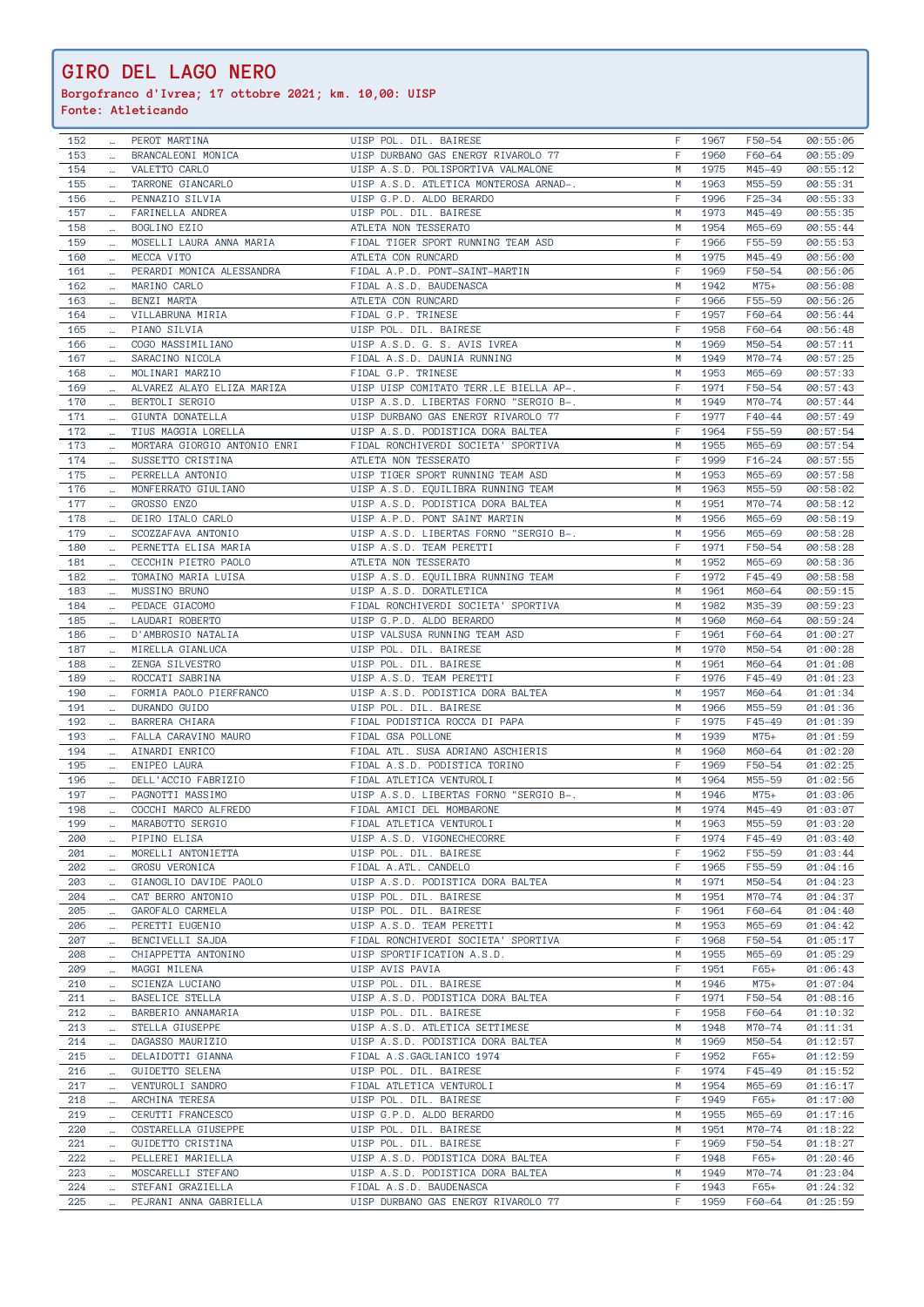**Borgofranco d'Ivrea; 17 ottobre 2021; km. 10,00: UISP**

| 152 |          | PEROT MARTINA                | UISP POL. DIL. BAIRESE                 | F | 1967 | F50-54     | 00:55:06 |
|-----|----------|------------------------------|----------------------------------------|---|------|------------|----------|
| 153 | $\ldots$ | BRANCALEONI MONICA           | UISP DURBANO GAS ENERGY RIVAROLO 77    | F | 1960 | F60-64     | 00:55:09 |
| 154 |          | VALETTO CARLO                | UISP A.S.D. POLISPORTIVA VALMALONE     | M | 1975 | M45-49     | 00:55:12 |
| 155 |          | TARRONE GIANCARLO            | UISP A.S.D. ATLETICA MONTEROSA ARNAD-. | M | 1963 | M55-59     | 00:55:31 |
| 156 | $\cdots$ | PENNAZIO SILVIA              | UISP G.P.D. ALDO BERARDO               | F | 1996 | $F25 - 34$ | 00:55:33 |
| 157 | $\ldots$ | FARINELLA ANDREA             | UISP POL. DIL. BAIRESE                 | M | 1973 | M45-49     | 00:55:35 |
|     | $\cdots$ | BOGLINO EZIO                 |                                        | M | 1954 | M65-69     |          |
| 158 |          |                              | ATLETA NON TESSERATO                   | F |      |            | 00:55:44 |
| 159 | $\cdots$ | MOSELLI LAURA ANNA MARIA     | FIDAL TIGER SPORT RUNNING TEAM ASD     |   | 1966 | F55-59     | 00:55:53 |
| 160 |          | MECCA VITO                   | ATLETA CON RUNCARD                     | M | 1975 | M45-49     | 00:56:00 |
| 161 | $\cdots$ | PERARDI MONICA ALESSANDRA    | FIDAL A.P.D. PONT-SAINT-MARTIN         | F | 1969 | F50-54     | 00:56:06 |
| 162 | $\ldots$ | MARINO CARLO                 | FIDAL A.S.D. BAUDENASCA                | М | 1942 | $M75+$     | 00:56:08 |
| 163 | $\cdots$ | BENZI MARTA                  | ATLETA CON RUNCARD                     | F | 1966 | F55-59     | 00:56:26 |
| 164 | $\cdots$ | VILLABRUNA MIRIA             | FIDAL G.P. TRINESE                     | F | 1957 | F60-64     | 00:56:44 |
| 165 | $\cdots$ | PIANO SILVIA                 | UISP POL. DIL. BAIRESE                 | F | 1958 | F60-64     | 00:56:48 |
| 166 | $\cdots$ | COGO MASSIMILIANO            | UISP A.S.D. G. S. AVIS IVREA           | M | 1969 | M50-54     | 00:57:11 |
| 167 |          | SARACINO NICOLA              | FIDAL A.S.D. DAUNIA RUNNING            | M | 1949 | M70-74     | 00:57:25 |
| 168 | $\ldots$ | MOLINARI MARZIO              | FIDAL G.P. TRINESE                     | M | 1953 | M65-69     | 00:57:33 |
| 169 |          | ALVAREZ ALAYO ELIZA MARIZA   | UISP UISP COMITATO TERR.LE BIELLA AP-. | F | 1971 | F50-54     | 00:57:43 |
| 170 | $\cdots$ | BERTOLI SERGIO               | UISP A.S.D. LIBERTAS FORNO "SERGIO B-. | M | 1949 | M70-74     | 00:57:44 |
| 171 | $\ldots$ | GIUNTA DONATELLA             | UISP DURBANO GAS ENERGY RIVAROLO 77    | F | 1977 | F40-44     | 00:57:49 |
| 172 | $\ldots$ | TIUS MAGGIA LORELLA          | UISP A.S.D. PODISTICA DORA BALTEA      | F | 1964 | F55-59     | 00:57:54 |
| 173 | $\cdots$ | MORTARA GIORGIO ANTONIO ENRI | FIDAL RONCHIVERDI SOCIETA' SPORTIVA    | M | 1955 | M65-69     | 00:57:54 |
| 174 | $\cdots$ | SUSSETTO CRISTINA            | ATLETA NON TESSERATO                   | F | 1999 | $F16 - 24$ | 00:57:55 |
| 175 | $\cdots$ | PERRELLA ANTONIO             | UISP TIGER SPORT RUNNING TEAM ASD      | М | 1953 | M65-69     | 00:57:58 |
| 176 |          | MONFERRATO GIULIANO          | UISP A.S.D. EQUILIBRA RUNNING TEAM     | М | 1963 | M55-59     | 00:58:02 |
| 177 |          | GROSSO ENZO                  | UISP A.S.D. PODISTICA DORA BALTEA      | M | 1951 | M70-74     | 00:58:12 |
| 178 | $\ldots$ | DEIRO ITALO CARLO            | UISP A.P.D. PONT SAINT MARTIN          | M | 1956 | M65-69     | 00:58:19 |
|     | $\cdots$ |                              | UISP A.S.D. LIBERTAS FORNO "SERGIO B-. | M |      |            |          |
| 179 | $\ldots$ | SCOZZAFAVA ANTONIO           |                                        |   | 1956 | M65-69     | 00:58:28 |
| 180 | $\cdots$ | PERNETTA ELISA MARIA         | UISP A.S.D. TEAM PERETTI               | F | 1971 | F50-54     | 00:58:28 |
| 181 | $\ldots$ | CECCHIN PIETRO PAOLO         | ATLETA NON TESSERATO                   | M | 1952 | M65-69     | 00:58:36 |
| 182 | $\cdots$ | TOMAINO MARIA LUISA          | UISP A.S.D. EQUILIBRA RUNNING TEAM     | F | 1972 | $F45 - 49$ | 00:58:58 |
| 183 |          | MUSSINO BRUNO                | UISP A.S.D. DORATLETICA                | M | 1961 | M60-64     | 00:59:15 |
| 184 | $\cdots$ | PEDACE GIACOMO               | FIDAL RONCHIVERDI SOCIETA' SPORTIVA    | M | 1982 | M35-39     | 00:59:23 |
| 185 |          | LAUDARI ROBERTO              | UISP G.P.D. ALDO BERARDO               | М | 1960 | M60-64     | 00:59:24 |
| 186 | $\cdots$ | D'AMBROSIO NATALIA           | UISP VALSUSA RUNNING TEAM ASD          | F | 1961 | F60-64     | 01:00:27 |
| 187 | $\ldots$ | MIRELLA GIANLUCA             | UISP POL. DIL. BAIRESE                 | M | 1970 | M50-54     | 01:00:28 |
| 188 | $\cdots$ | ZENGA SILVESTRO              | UISP POL. DIL. BAIRESE                 | M | 1961 | M60-64     | 01:01:08 |
| 189 | $\cdots$ | ROCCATI SABRINA              | UISP A.S.D. TEAM PERETTI               | F | 1976 | $F45 - 49$ | 01:01:23 |
| 190 | $\ldots$ | FORMIA PAOLO PIERFRANCO      | UISP A.S.D. PODISTICA DORA BALTEA      | M | 1957 | M60-64     | 01:01:34 |
| 191 | $\cdots$ | DURANDO GUIDO                | UISP POL. DIL. BAIRESE                 | M | 1966 | M55-59     | 01:01:36 |
| 192 |          | BARRERA CHIARA               | FIDAL PODISTICA ROCCA DI PAPA          | F | 1975 | F45-49     | 01:01:39 |
| 193 | $\cdots$ | FALLA CARAVINO MAURO         | FIDAL GSA POLLONE                      | M | 1939 | $M75+$     | 01:01:59 |
| 194 | $\ldots$ | AINARDI ENRICO               | FIDAL ATL. SUSA ADRIANO ASCHIERIS      | М | 1960 | M60-64     | 01:02:20 |
| 195 |          | ENIPEO LAURA                 | FIDAL A.S.D. PODISTICA TORINO          | F | 1969 | F50-54     | 01:02:25 |
| 196 | $\cdots$ | DELL'ACCIO FABRIZIO          | FIDAL ATLETICA VENTUROLI               | M | 1964 | M55-59     | 01:02:56 |
| 197 | $\cdots$ | PAGNOTTI MASSIMO             | UISP A.S.D. LIBERTAS FORNO "SERGIO B-. | M | 1946 | $M75+$     |          |
|     | $\ldots$ |                              |                                        |   |      | M45-49     | 01:03:06 |
| 198 | $\cdots$ | COCCHI MARCO ALFREDO         | FIDAL AMICI DEL MOMBARONE              | M | 1974 |            | 01:03:07 |
| 199 |          | MARABOTTO SERGIO             | FIDAL ATLETICA VENTUROLI               | M | 1963 | M55-59     | 01:03:20 |
| 200 | $\cdots$ | PIPINO ELISA                 | UISP A.S.D. VIGONECHECORRE             | F | 1974 | $F45 - 49$ | 01:03:40 |
| 201 |          | MORELLI ANTONIETTA           | UISP POL. DIL. BAIRESE                 | F | 1962 | F55-59     | 01:03:44 |
| 202 | $\cdots$ | GROSU VERONICA               | FIDAL A.ATL. CANDELO                   | F | 1965 | F55-59     | 01:04:16 |
| 203 |          | GIANOGLIO DAVIDE PAOLO       | UISP A.S.D. PODISTICA DORA BALTEA      | M | 1971 | M50-54     | 01:04:23 |
| 204 | $\ldots$ | CAT BERRO ANTONIO            | UISP POL. DIL. BAIRESE                 | М | 1951 | M70-74     | 01:04:37 |
| 205 | $\ldots$ | GAROFALO CARMELA             | UISP POL. DIL. BAIRESE                 | F | 1961 | F60-64     | 01:04:40 |
| 206 | $\cdots$ | PERETTI EUGENIO              | UISP A.S.D. TEAM PERETTI               | M | 1953 | M65-69     | 01:04:42 |
| 207 | $\cdots$ | BENCIVELLI SAJDA             | FIDAL RONCHIVERDI SOCIETA' SPORTIVA    | F | 1968 | F50-54     | 01:05:17 |
| 208 |          | CHIAPPETTA ANTONINO          | UISP SPORTIFICATION A.S.D.             | М | 1955 | M65-69     | 01:05:29 |
| 209 | $\ldots$ | MAGGI MILENA                 | UISP AVIS PAVIA                        | F | 1951 | $F65+$     | 01:06:43 |
| 210 |          | SCIENZA LUCIANO              | UISP POL. DIL. BAIRESE                 | M | 1946 | $M75+$     | 01:07:04 |
| 211 | $\cdots$ | BASELICE STELLA              | UISP A.S.D. PODISTICA DORA BALTEA      | F | 1971 | F50-54     | 01:08:16 |
| 212 | $\cdots$ | BARBERIO ANNAMARIA           | UISP POL. DIL. BAIRESE                 | F | 1958 | F60-64     | 01:10:32 |
| 213 |          | STELLA GIUSEPPE              | UISP A.S.D. ATLETICA SETTIMESE         | M | 1948 | M70-74     | 01:11:31 |
| 214 | $\cdots$ | DAGASSO MAURIZIO             | UISP A.S.D. PODISTICA DORA BALTEA      | М | 1969 | M50-54     | 01:12:57 |
| 215 | $\cdots$ | DELAIDOTTI GIANNA            | FIDAL A.S.GAGLIANICO 1974              | F | 1952 | $F65+$     | 01:12:59 |
|     | $\cdots$ |                              |                                        |   |      |            |          |
| 216 | $\cdots$ | <b>GUIDETTO SELENA</b>       | UISP POL. DIL. BAIRESE                 | F | 1974 | $F45 - 49$ | 01:15:52 |
| 217 |          | VENTUROLI SANDRO             | FIDAL ATLETICA VENTUROLI               | M | 1954 | M65-69     | 01:16:17 |
| 218 | $\ldots$ | ARCHINA TERESA               | UISP POL. DIL. BAIRESE                 | F | 1949 | $F65+$     | 01:17:00 |
| 219 |          | CERUTTI FRANCESCO            | UISP G.P.D. ALDO BERARDO               | M | 1955 | M65-69     | 01:17:16 |
| 220 | $\ldots$ | COSTARELLA GIUSEPPE          | UISP POL. DIL. BAIRESE                 | M | 1951 | M70-74     | 01:18:22 |
| 221 | $\cdots$ | GUIDETTO CRISTINA            | UISP POL. DIL. BAIRESE                 | F | 1969 | F50-54     | 01:18:27 |
| 222 | $\cdots$ | PELLEREI MARIELLA            | UISP A.S.D. PODISTICA DORA BALTEA      | F | 1948 | $F65+$     | 01:20:46 |
| 223 | $\cdots$ | MOSCARELLI STEFANO           | UISP A.S.D. PODISTICA DORA BALTEA      | М | 1949 | M70-74     | 01:23:04 |
| 224 |          | STEFANI GRAZIELLA            | FIDAL A.S.D. BAUDENASCA                | F | 1943 | $F65+$     | 01:24:32 |
| 225 |          | PEJRANI ANNA GABRIELLA       | UISP DURBANO GAS ENERGY RIVAROLO 77    | F | 1959 | F60-64     | 01:25:59 |